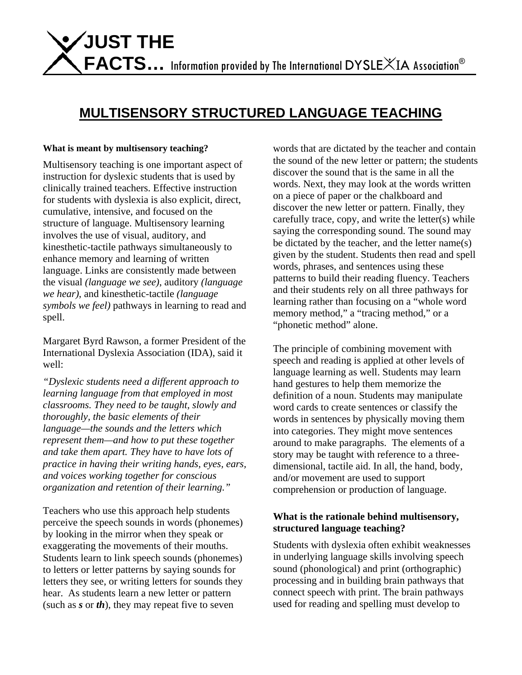# **MULTISENSORY STRUCTURED LANGUAGE TEACHING**

#### **What is meant by multisensory teaching?**

Multisensory teaching is one important aspect of instruction for dyslexic students that is used by clinically trained teachers. Effective instruction for students with dyslexia is also explicit, direct, cumulative, intensive, and focused on the structure of language. Multisensory learning involves the use of visual, auditory, and kinesthetic-tactile pathways simultaneously to enhance memory and learning of written language. Links are consistently made between the visual *(language we see)*, auditory *(language we hear)*, and kinesthetic-tactile *(language symbols we feel)* pathways in learning to read and spell.

Margaret Byrd Rawson, a former President of the International Dyslexia Association (IDA), said it well:

*"Dyslexic students need a different approach to learning language from that employed in most classrooms. They need to be taught, slowly and thoroughly, the basic elements of their language—the sounds and the letters which represent them—and how to put these together and take them apart. They have to have lots of practice in having their writing hands, eyes, ears, and voices working together for conscious organization and retention of their learning."* 

Teachers who use this approach help students perceive the speech sounds in words (phonemes) by looking in the mirror when they speak or exaggerating the movements of their mouths. Students learn to link speech sounds (phonemes) to letters or letter patterns by saying sounds for letters they see, or writing letters for sounds they hear. As students learn a new letter or pattern (such as *s* or *th*), they may repeat five to seven

words that are dictated by the teacher and contain the sound of the new letter or pattern; the students discover the sound that is the same in all the words. Next, they may look at the words written on a piece of paper or the chalkboard and discover the new letter or pattern. Finally, they carefully trace, copy, and write the letter(s) while saying the corresponding sound. The sound may be dictated by the teacher, and the letter name(s) given by the student. Students then read and spell words, phrases, and sentences using these patterns to build their reading fluency. Teachers and their students rely on all three pathways for learning rather than focusing on a "whole word memory method," a "tracing method," or a "phonetic method" alone.

The principle of combining movement with speech and reading is applied at other levels of language learning as well. Students may learn hand gestures to help them memorize the definition of a noun. Students may manipulate word cards to create sentences or classify the words in sentences by physically moving them into categories. They might move sentences around to make paragraphs. The elements of a story may be taught with reference to a threedimensional, tactile aid. In all, the hand, body, and/or movement are used to support comprehension or production of language.

## **What is the rationale behind multisensory, structured language teaching?**

Students with dyslexia often exhibit weaknesses in underlying language skills involving speech sound (phonological) and print (orthographic) processing and in building brain pathways that connect speech with print. The brain pathways used for reading and spelling must develop to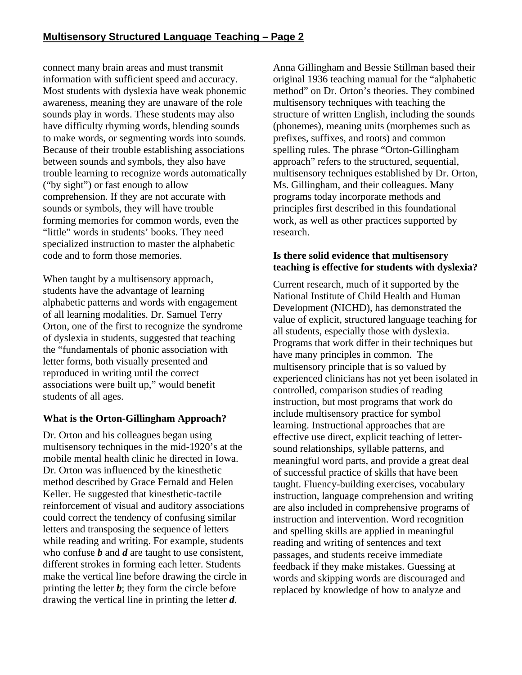connect many brain areas and must transmit information with sufficient speed and accuracy. Most students with dyslexia have weak phonemic awareness, meaning they are unaware of the role sounds play in words. These students may also have difficulty rhyming words, blending sounds to make words, or segmenting words into sounds. Because of their trouble establishing associations between sounds and symbols, they also have trouble learning to recognize words automatically ("by sight") or fast enough to allow comprehension. If they are not accurate with sounds or symbols, they will have trouble forming memories for common words, even the "little" words in students' books. They need specialized instruction to master the alphabetic code and to form those memories.

When taught by a multisensory approach, students have the advantage of learning alphabetic patterns and words with engagement of all learning modalities. Dr. Samuel Terry Orton, one of the first to recognize the syndrome of dyslexia in students, suggested that teaching the "fundamentals of phonic association with letter forms, both visually presented and reproduced in writing until the correct associations were built up," would benefit students of all ages.

# **What is the Orton-Gillingham Approach?**

Dr. Orton and his colleagues began using multisensory techniques in the mid-1920's at the mobile mental health clinic he directed in Iowa. Dr. Orton was influenced by the kinesthetic method described by Grace Fernald and Helen Keller. He suggested that kinesthetic-tactile reinforcement of visual and auditory associations could correct the tendency of confusing similar letters and transposing the sequence of letters while reading and writing. For example, students who confuse *b* and *d* are taught to use consistent, different strokes in forming each letter. Students make the vertical line before drawing the circle in printing the letter  $\boldsymbol{b}$ ; they form the circle before drawing the vertical line in printing the letter *d*.

Anna Gillingham and Bessie Stillman based their original 1936 teaching manual for the "alphabetic method" on Dr. Orton's theories. They combined multisensory techniques with teaching the structure of written English, including the sounds (phonemes), meaning units (morphemes such as prefixes, suffixes, and roots) and common spelling rules. The phrase "Orton-Gillingham approach" refers to the structured, sequential, multisensory techniques established by Dr. Orton, Ms. Gillingham, and their colleagues. Many programs today incorporate methods and principles first described in this foundational work, as well as other practices supported by research.

#### **Is there solid evidence that multisensory teaching is effective for students with dyslexia?**

Current research, much of it supported by the National Institute of Child Health and Human Development (NICHD), has demonstrated the value of explicit, structured language teaching for all students, especially those with dyslexia. Programs that work differ in their techniques but have many principles in common. The multisensory principle that is so valued by experienced clinicians has not yet been isolated in controlled, comparison studies of reading instruction, but most programs that work do include multisensory practice for symbol learning. Instructional approaches that are effective use direct, explicit teaching of lettersound relationships, syllable patterns, and meaningful word parts, and provide a great deal of successful practice of skills that have been taught. Fluency-building exercises, vocabulary instruction, language comprehension and writing are also included in comprehensive programs of instruction and intervention. Word recognition and spelling skills are applied in meaningful reading and writing of sentences and text passages, and students receive immediate feedback if they make mistakes. Guessing at words and skipping words are discouraged and replaced by knowledge of how to analyze and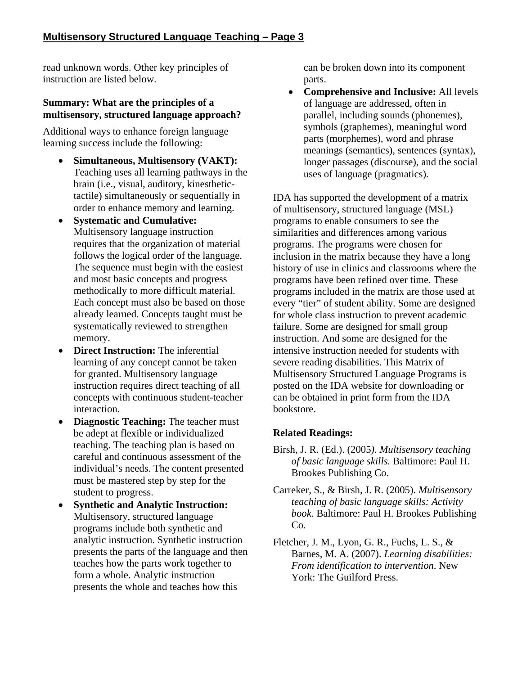read unknown words. Other key principles of instruction are listed below.

## **Summary: What are the principles of a multisensory, structured language approach?**

Additional ways to enhance foreign language learning success include the following:

- **Simultaneous, Multisensory (VAKT):** Teaching uses all learning pathways in the brain (i.e., visual, auditory, kinesthetictactile) simultaneously or sequentially in order to enhance memory and learning.
- **Systematic and Cumulative:** Multisensory language instruction requires that the organization of material follows the logical order of the language. The sequence must begin with the easiest and most basic concepts and progress methodically to more difficult material. Each concept must also be based on those already learned. Concepts taught must be systematically reviewed to strengthen memory.
- **Direct Instruction:** The inferential learning of any concept cannot be taken for granted. Multisensory language instruction requires direct teaching of all concepts with continuous student-teacher interaction.
- **Diagnostic Teaching:** The teacher must be adept at flexible or individualized teaching. The teaching plan is based on careful and continuous assessment of the individual's needs. The content presented must be mastered step by step for the student to progress.
- **Synthetic and Analytic Instruction:**  Multisensory, structured language programs include both synthetic and analytic instruction. Synthetic instruction presents the parts of the language and then teaches how the parts work together to form a whole. Analytic instruction presents the whole and teaches how this

can be broken down into its component parts.

• **Comprehensive and Inclusive:** All levels of language are addressed, often in parallel, including sounds (phonemes), symbols (graphemes), meaningful word parts (morphemes), word and phrase meanings (semantics), sentences (syntax), longer passages (discourse), and the social uses of language (pragmatics).

IDA has supported the development of a matrix of multisensory, structured language (MSL) programs to enable consumers to see the similarities and differences among various programs. The programs were chosen for inclusion in the matrix because they have a long history of use in clinics and classrooms where the programs have been refined over time. These programs included in the matrix are those used at every "tier" of student ability. Some are designed for whole class instruction to prevent academic failure. Some are designed for small group instruction. And some are designed for the intensive instruction needed for students with severe reading disabilities. This Matrix of Multisensory Structured Language Programs is posted on the IDA website for downloading or can be obtained in print form from the IDA bookstore.

# **Related Readings:**

- Birsh, J. R. (Ed.). (2005*). Multisensory teaching of basic language skills.* Baltimore: Paul H. Brookes Publishing Co.
- Carreker, S., & Birsh, J. R. (2005). *Multisensory teaching of basic language skills: Activity book.* Baltimore: Paul H. Brookes Publishing Co.
- Fletcher, J. M., Lyon, G. R., Fuchs, L. S., & Barnes, M. A. (2007). *Learning disabilities: From identification to intervention*. New York: The Guilford Press.